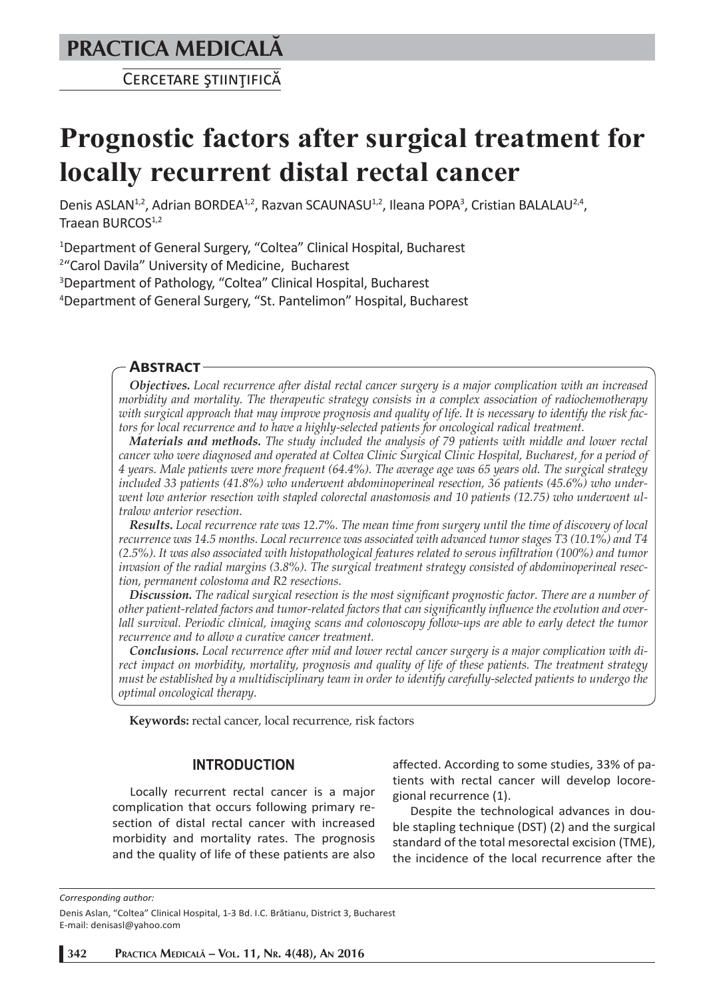# **PRACTICA MEDICALÅ**

CERCETARE STIINTIFICĂ

# **Prognostic factors after surgical treatment for locally recurrent distal rectal cancer**

Denis ASLAN<sup>1,2</sup>, Adrian BORDEA<sup>1,2</sup>, Razvan SCAUNASU<sup>1,2</sup>, Ileana POPA<sup>3</sup>, Cristian BALALAU<sup>2,4</sup>, Traean BURCOS<sup>1,2</sup>

1 Department of General Surgery, "Coltea" Clinical Hospital, Bucharest

2 "Carol Davila" University of Medicine, Bucharest

3 Department of Pathology, "Coltea" Clinical Hospital, Bucharest

4 Department of General Surgery, "St. Pantelimon" Hospital, Bucharest

#### **ABSTRACT**

*Objectives. Local recurrence after distal rectal cancer surgery is a major complication with an increased morbidity and mortality. The therapeutic strategy consists in a complex association of radiochemotherapy with surgical approach that may improve prognosis and quality of life. It is necessary to identify the risk factors for local recurrence and to have a highly-selected patients for oncological radical treatment.* 

*Materials and methods. The study included the analysis of 79 patients with middle and lower rectal cancer who were diagnosed and operated at Coltea Clinic Surgical Clinic Hospital, Bucharest, for a period of 4 years. Male patients were more frequent (64.4%). The average age was 65 years old. The surgical strategy included 33 patients (41.8%) who underwent abdominoperineal resection, 36 patients (45.6%) who underwent low anterior resection with stapled colorectal anastomosis and 10 patients (12.75) who underwent ultralow anterior resection.*

*Results. Local recurrence rate was 12.7%. The mean time from surgery until the time of discovery of local recurrence was 14.5 months. Local recurrence was associated with advanced tumor stages T3 (10.1%) and T4 (2.5%). It was also associated with histopathological features related to serous infiltration (100%) and tumor invasion of the radial margins (3.8%). The surgical treatment strategy consisted of abdominoperineal resection, permanent colostoma and R2 resections.*

*Discussion. The radical surgical resection is the most significant prognostic factor. There are a number of other patient-related factors and tumor-related factors that can significantly influence the evolution and overlall survival. Periodic clinical, imaging scans and colonoscopy follow-ups are able to early detect the tumor recurrence and to allow a curative cancer treatment.*

*Conclusions. Local recurrence after mid and lower rectal cancer surgery is a major complication with direct impact on morbidity, mortality, prognosis and quality of life of these patients. The treatment strategy must be established by a multidisciplinary team in order to identify carefully-selected patients to undergo the optimal oncological therapy.*

**Keywords:** rectal cancer, local recurrence, risk factors

#### **INTRODUCTION**

Locally recurrent rectal cancer is a major complication that occurs following primary resection of distal rectal cancer with increased morbidity and mortality rates. The prognosis and the quality of life of these patients are also

affected. According to some studies, 33% of patients with rectal cancer will develop locoregional recurrence (1).

Despite the technological advances in double stapling technique (DST) (2) and the surgical standard of the total mesorectal excision (TME), the incidence of the local recurrence after the

*Corresponding author:* 

Denis Aslan, "Coltea" Clinical Hospital, 1-3 Bd. I.C. Brătianu, District 3, Bucharest E-mail: denisasl@yahoo.com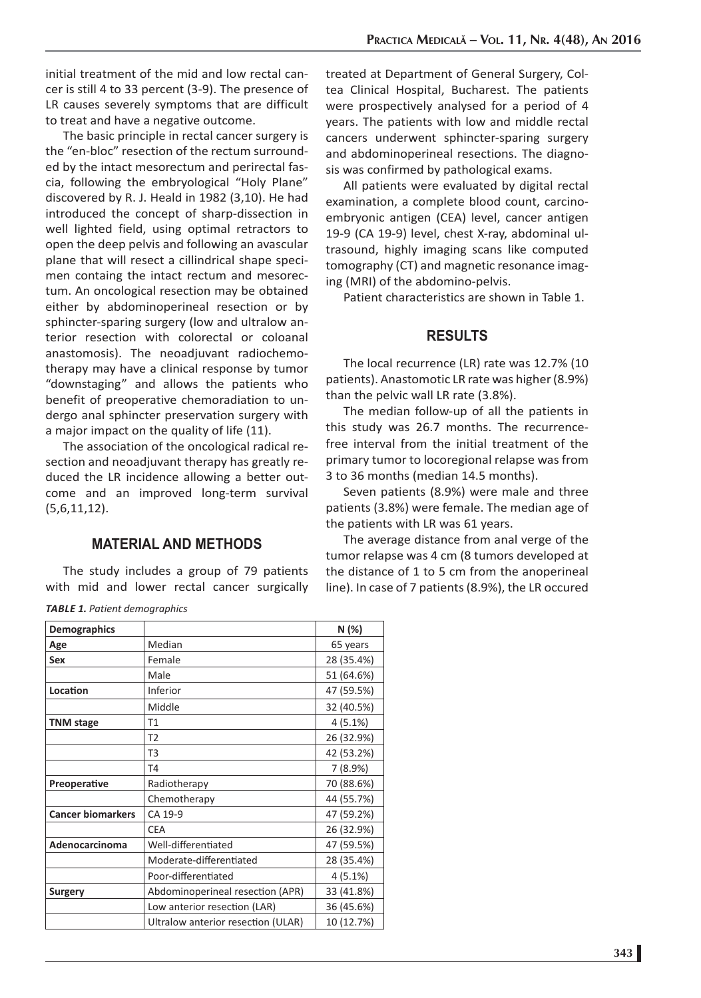initial treatment of the mid and low rectal cancer is still 4 to 33 percent (3-9). The presence of LR causes severely symptoms that are difficult to treat and have a negative outcome.

The basic principle in rectal cancer surgery is the "en-bloc" resection of the rectum surrounded by the intact mesorectum and perirectal fascia, following the embryological "Holy Plane" discovered by R. J. Heald in 1982 (3,10). He had introduced the concept of sharp-dissection in well lighted field, using optimal retractors to open the deep pelvis and following an avascular plane that will resect a cillindrical shape specimen containg the intact rectum and mesorectum. An oncological resection may be obtained either by abdominoperineal resection or by sphincter-sparing surgery (low and ultralow anterior resection with colorectal or coloanal anastomosis). The neoadjuvant radiochemotherapy may have a clinical response by tumor "downstaging" and allows the patients who benefit of preoperative chemoradiation to undergo anal sphincter preservation surgery with a major impact on the quality of life (11).

The association of the oncological radical resection and neoadjuvant therapy has greatly reduced the LR incidence allowing a better outcome and an improved long-term survival (5,6,11,12).

## **MATERIAL AND METHODS**

The study includes a group of 79 patients with mid and lower rectal cancer surgically

treated at Department of General Surgery, Coltea Clinical Hospital, Bucharest. The patients were prospectively analysed for a period of 4 years. The patients with low and middle rectal cancers underwent sphincter-sparing surgery and abdominoperineal resections. The diagnosis was confirmed by pathological exams.

All patients were evaluated by digital rectal examination, a complete blood count, carcinoembryonic antigen (CEA) level, cancer antigen 19-9 (CA 19-9) level, chest X-ray, abdominal ultrasound, highly imaging scans like computed tomography (CT) and magnetic resonance imaging (MRI) of the abdomino-pelvis.

Patient characteristics are shown in Table 1.

#### **RESULTS**

The local recurrence (LR) rate was 12.7% (10 patients). Anastomotic LR rate was higher (8.9%) than the pelvic wall LR rate (3.8%).

The median follow-up of all the patients in this study was 26.7 months. The recurrencefree interval from the initial treatment of the primary tumor to locoregional relapse was from 3 to 36 months (median 14.5 months).

Seven patients (8.9%) were male and three patients (3.8%) were female. The median age of the patients with LR was 61 years.

The average distance from anal verge of the tumor relapse was 4 cm (8 tumors developed at the distance of 1 to 5 cm from the anoperineal line). In case of 7 patients (8.9%), the LR occured

| <b>Demographics</b>      |                                    | N (%)      |
|--------------------------|------------------------------------|------------|
| Age                      | Median                             | 65 years   |
| Sex                      | Female                             | 28 (35.4%) |
|                          | Male                               | 51 (64.6%) |
| Location                 | Inferior                           | 47 (59.5%) |
|                          | Middle                             | 32 (40.5%) |
| <b>TNM</b> stage         | T1                                 | 4(5.1%)    |
|                          | T <sub>2</sub>                     | 26 (32.9%) |
|                          | T3                                 | 42 (53.2%) |
|                          | T4                                 | 7(8.9%)    |
| Preoperative             | Radiotherapy                       | 70 (88.6%) |
|                          | Chemotherapy                       | 44 (55.7%) |
| <b>Cancer biomarkers</b> | CA 19-9                            | 47 (59.2%) |
|                          | <b>CEA</b>                         | 26 (32.9%) |
| <b>Adenocarcinoma</b>    | Well-differentiated                | 47 (59.5%) |
|                          | Moderate-differentiated            | 28 (35.4%) |
|                          | Poor-differentiated                | 4(5.1%)    |
| Surgery                  | Abdominoperineal resection (APR)   | 33 (41.8%) |
|                          | Low anterior resection (LAR)       | 36 (45.6%) |
|                          | Ultralow anterior resection (ULAR) | 10 (12.7%) |

*TABLE 1. Patient demographics*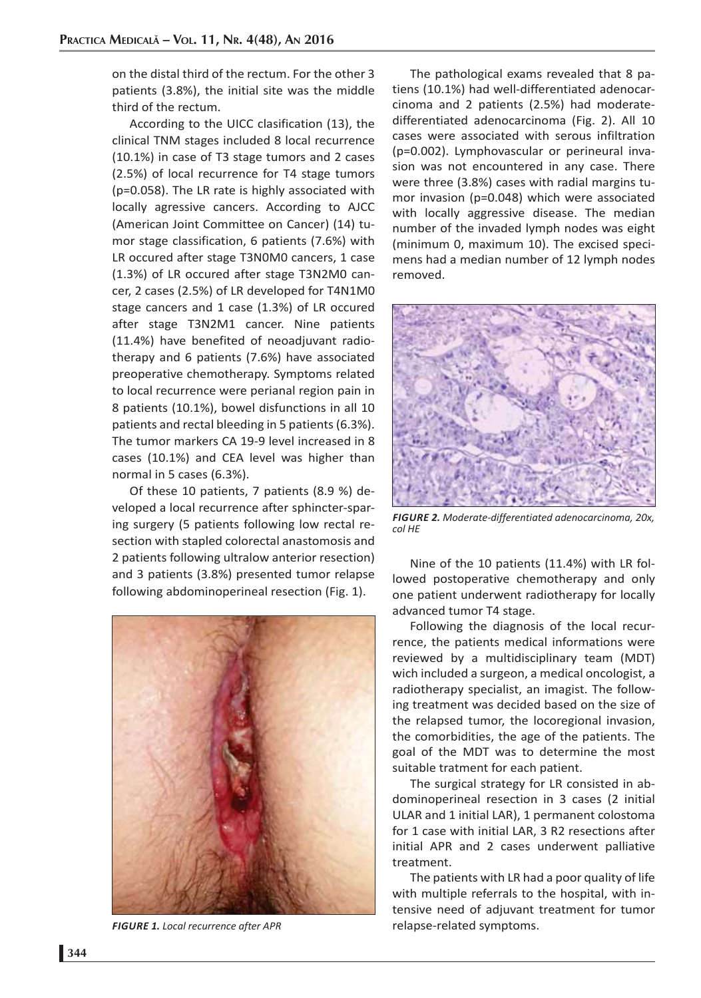on the distal third of the rectum. For the other 3 patients (3.8%), the initial site was the middle third of the rectum.

According to the UICC clasification (13), the clinical TNM stages included 8 local recurrence (10.1%) in case of T3 stage tumors and 2 cases (2.5%) of local recurrence for T4 stage tumors (p=0.058). The LR rate is highly associated with locally agressive cancers. According to AJCC (American Joint Committee on Cancer) (14) tumor stage classification, 6 patients (7.6%) with LR occured after stage T3N0M0 cancers, 1 case (1.3%) of LR occured after stage T3N2M0 cancer, 2 cases (2.5%) of LR developed for T4N1M0 stage cancers and 1 case (1.3%) of LR occured after stage T3N2M1 cancer. Nine patients (11.4%) have benefited of neoadjuvant radiotherapy and 6 patients (7.6%) have associated preoperative chemotherapy. Symptoms related to local recurrence were perianal region pain in 8 patients (10.1%), bowel disfunctions in all 10 patients and rectal bleeding in 5 patients (6.3%). The tumor markers CA 19-9 level increased in 8 cases (10.1%) and CEA level was higher than normal in 5 cases (6.3%).

Of these 10 patients, 7 patients (8.9 %) developed a local recurrence after sphincter-sparing surgery (5 patients following low rectal resection with stapled colorectal anastomosis and 2 patients following ultralow anterior resection) and 3 patients (3.8%) presented tumor relapse following abdominoperineal resection (Fig. 1).



*FIGURE 1. Local recurrence after APR*

The pathological exams revealed that 8 patiens (10.1%) had well-differentiated adenocarcinoma and 2 patients (2.5%) had moderatedifferentiated adenocarcinoma (Fig. 2). All 10 cases were associated with serous infiltration (p=0.002). Lymphovascular or perineural invasion was not encountered in any case. There were three (3.8%) cases with radial margins tumor invasion (p=0.048) which were associated with locally aggressive disease. The median number of the invaded lymph nodes was eight (minimum 0, maximum 10). The excised specimens had a median number of 12 lymph nodes removed.



*FIGURE 2. Moderate-differentiated adenocarcinoma, 20x, col HE*

Nine of the 10 patients (11.4%) with LR followed postoperative chemotherapy and only one patient underwent radiotherapy for locally advanced tumor T4 stage.

Following the diagnosis of the local recurrence, the patients medical informations were reviewed by a multidisciplinary team (MDT) wich included a surgeon, a medical oncologist, a radiotherapy specialist, an imagist. The following treatment was decided based on the size of the relapsed tumor, the locoregional invasion, the comorbidities, the age of the patients. The goal of the MDT was to determine the most suitable tratment for each patient.

The surgical strategy for LR consisted in abdominoperineal resection in 3 cases (2 initial ULAR and 1 initial LAR), 1 permanent colostoma for 1 case with initial LAR, 3 R2 resections after initial APR and 2 cases underwent palliative treatment.

The patients with LR had a poor quality of life with multiple referrals to the hospital, with intensive need of adjuvant treatment for tumor relapse-related symptoms.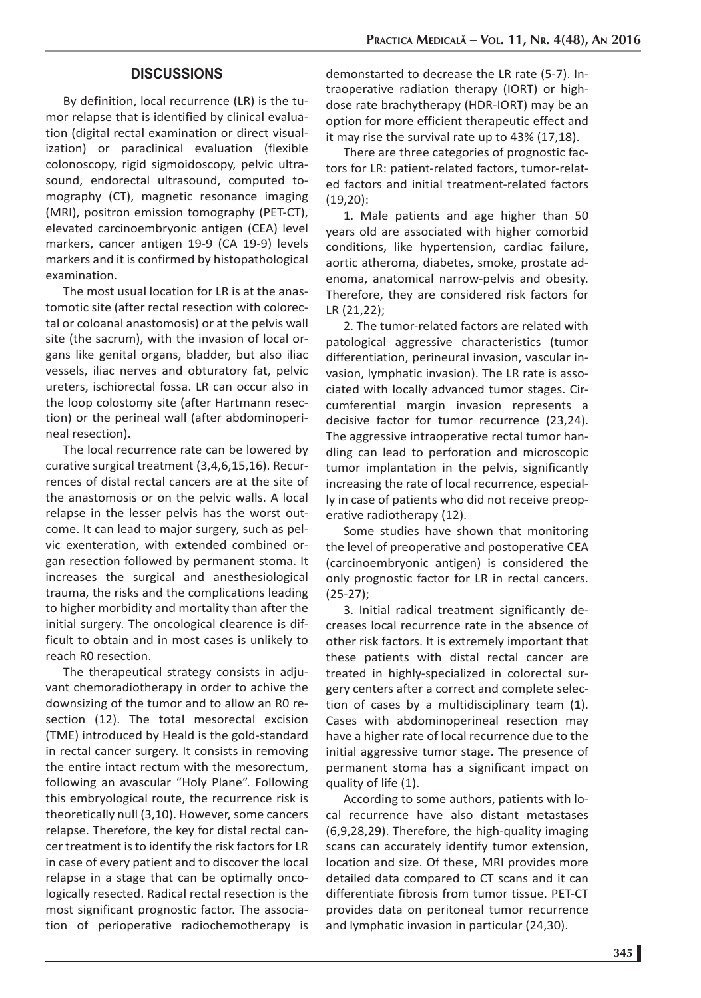## **DISCUSSIONS**

By definition, local recurrence (LR) is the tumor relapse that is identified by clinical evaluation (digital rectal examination or direct visualization) or paraclinical evaluation (flexible colonoscopy, rigid sigmoidoscopy, pelvic ultrasound, endorectal ultrasound, computed tomography (CT), magnetic resonance imaging (MRI), positron emission tomography (PET-CT), elevated carcinoembryonic antigen (CEA) level markers, cancer antigen 19-9 (CA 19-9) levels markers and it is confirmed by histopathological examination.

The most usual location for LR is at the anastomotic site (after rectal resection with colorectal or coloanal anastomosis) or at the pelvis wall site (the sacrum), with the invasion of local organs like genital organs, bladder, but also iliac vessels, iliac nerves and obturatory fat, pelvic ureters, ischiorectal fossa. LR can occur also in the loop colostomy site (after Hartmann resection) or the perineal wall (after abdominoperineal resection).

The local recurrence rate can be lowered by curative surgical treatment (3,4,6,15,16). Recurrences of distal rectal cancers are at the site of the anastomosis or on the pelvic walls. A local relapse in the lesser pelvis has the worst outcome. It can lead to major surgery, such as pelvic exenteration, with extended combined organ resection followed by permanent stoma. It increases the surgical and anesthesiological trauma, the risks and the complications leading to higher morbidity and mortality than after the initial surgery. The oncological clearence is difficult to obtain and in most cases is unlikely to reach R0 resection.

The therapeutical strategy consists in adjuvant chemoradiotherapy in order to achive the downsizing of the tumor and to allow an R0 resection (12). The total mesorectal excision (TME) introduced by Heald is the gold-standard in rectal cancer surgery. It consists in removing the entire intact rectum with the mesorectum, following an avascular "Holy Plane". Following this embryological route, the recurrence risk is theoretically null (3,10). However, some cancers relapse. Therefore, the key for distal rectal cancer treatment is to identify the risk factors for LR in case of every patient and to discover the local relapse in a stage that can be optimally oncologically resected. Radical rectal resection is the most significant prognostic factor. The association of perioperative radiochemotherapy is

demonstarted to decrease the LR rate (5-7). Intraoperative radiation therapy (IORT) or highdose rate brachytherapy (HDR-IORT) may be an option for more efficient therapeutic effect and it may rise the survival rate up to 43% (17,18).

There are three categories of prognostic factors for LR: patient-related factors, tumor-related factors and initial treatment-related factors (19,20):

1. Male patients and age higher than 50 years old are associated with higher comorbid conditions, like hypertension, cardiac failure, aortic atheroma, diabetes, smoke, prostate adenoma, anatomical narrow-pelvis and obesity. Therefore, they are considered risk factors for LR (21,22);

2. The tumor-related factors are related with patological aggressive characteristics (tumor differentiation, perineural invasion, vascular invasion, lymphatic invasion). The LR rate is associated with locally advanced tumor stages. Circumferential margin invasion represents a decisive factor for tumor recurrence (23,24). The aggressive intraoperative rectal tumor handling can lead to perforation and microscopic tumor implantation in the pelvis, significantly increasing the rate of local recurrence, especially in case of patients who did not receive preoperative radiotherapy (12).

Some studies have shown that monitoring the level of preoperative and postoperative CEA (carcinoembryonic antigen) is considered the only prognostic factor for LR in rectal cancers. (25-27);

3. Initial radical treatment significantly decreases local recurrence rate in the absence of other risk factors. It is extremely important that these patients with distal rectal cancer are treated in highly-specialized in colorectal surgery centers after a correct and complete selection of cases by a multidisciplinary team (1). Cases with abdominoperineal resection may have a higher rate of local recurrence due to the initial aggressive tumor stage. The presence of permanent stoma has a significant impact on quality of life (1).

According to some authors, patients with local recurrence have also distant metastases (6,9,28,29). Therefore, the high-quality imaging scans can accurately identify tumor extension, location and size. Of these, MRI provides more detailed data compared to CT scans and it can differentiate fibrosis from tumor tissue. PET-CT provides data on peritoneal tumor recurrence and lymphatic invasion in particular (24,30).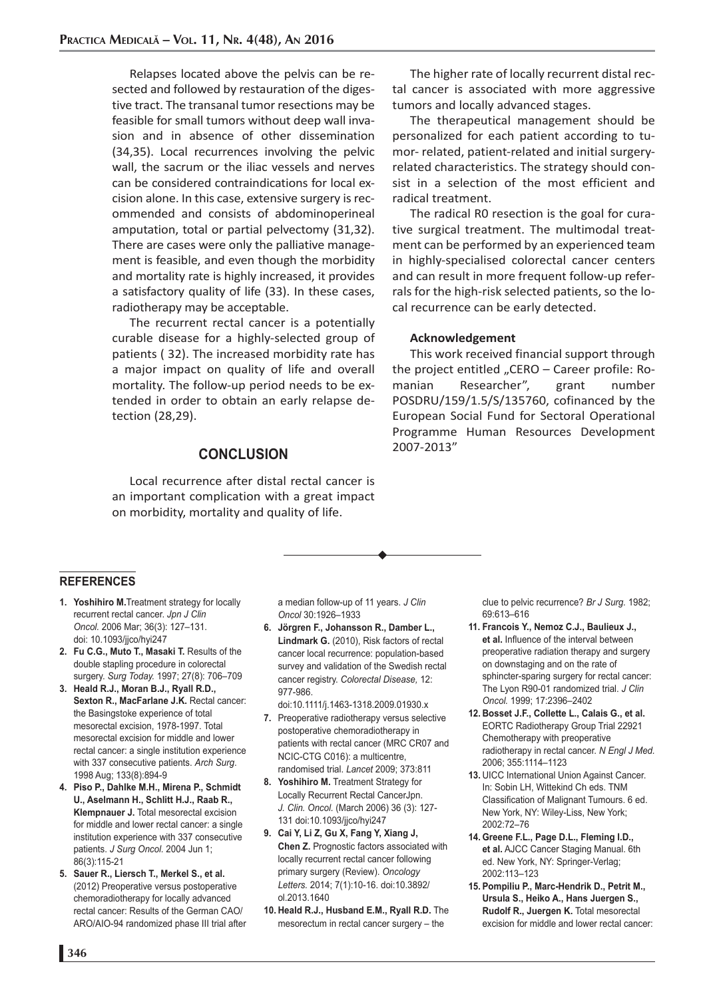Relapses located above the pelvis can be resected and followed by restauration of the digestive tract. The transanal tumor resections may be feasible for small tumors without deep wall invasion and in absence of other dissemination (34,35). Local recurrences involving the pelvic wall, the sacrum or the iliac vessels and nerves can be considered contraindications for local excision alone. In this case, extensive surgery is recommended and consists of abdominoperineal amputation, total or partial pelvectomy (31,32). There are cases were only the palliative management is feasible, and even though the morbidity and mortality rate is highly increased, it provides a satisfactory quality of life (33). In these cases, radiotherapy may be acceptable.

The recurrent rectal cancer is a potentially curable disease for a highly-selected group of patients ( 32). The increased morbidity rate has a major impact on quality of life and overall mortality. The follow-up period needs to be extended in order to obtain an early relapse detection (28,29).

#### **CONCLUSION**

Local recurrence after distal rectal cancer is an important complication with a great impact on morbidity, mortality and quality of life.

The higher rate of locally recurrent distal rectal cancer is associated with more aggressive tumors and locally advanced stages.

The therapeutical management should be personalized for each patient according to tumor- related, patient-related and initial surgeryrelated characteristics. The strategy should consist in a selection of the most efficient and radical treatment.

The radical R0 resection is the goal for curative surgical treatment. The multimodal treatment can be performed by an experienced team in highly-specialised colorectal cancer centers and can result in more frequent follow-up referrals for the high-risk selected patients, so the local recurrence can be early detected.

#### **Acknowledgement**

This work received financial support through the project entitled "CERO  $-$  Career profile: Romanian Researcher", grant number POSDRU/159/1.5/S/135760, cofinanced by the European Social Fund for Sectoral Operational Programme Human Resources Development 2007-2013"

#### **REFERENCES**

- **1. Yoshihiro M.**Treatment strategy for locally recurrent rectal cancer. *Jpn J Clin Oncol.* 2006 Mar; 36(3): 127–131. doi: 10.1093/jjco/hyi247
- **2. Fu C.G., Muto T., Masaki T.** Results of the double stapling procedure in colorectal surgery. *Surg Today.* 1997; 27(8): 706–709
- **3. Heald R.J., Moran B.J., Ryall R.D., Sexton R., MacFarlane J.K.** Rectal cancer: the Basingstoke experience of total mesorectal excision, 1978-1997. Total mesorectal excision for middle and lower rectal cancer: a single institution experience with 337 consecutive patients. *Arch Surg*. 1998 Aug; 133(8):894-9
- **4. Piso P., Dahlke M.H., Mirena P., Schmidt U., Aselmann H., Schlitt H.J., Raab R., Klempnauer J.** Total mesorectal excision for middle and lower rectal cancer: a single institution experience with 337 consecutive patients. *J Surg Oncol.* 2004 Jun 1; 86(3):115-21
- **5. Sauer R., Liersch T., Merkel S., et al.** (2012) Preoperative versus postoperative chemoradiotherapy for locally advanced rectal cancer: Results of the German CAO/ ARO/AIO-94 randomized phase III trial after

a median follow-up of 11 years. *J Clin Oncol* 30:1926–1933

- **6. Jörgren F., Johansson R., Damber L., Lindmark G.** (2010), Risk factors of rectal cancer local recurrence: population-based survey and validation of the Swedish rectal cancer registry. *Colorectal Disease,* 12: 977-986.
	- doi:10.1111/j.1463-1318.2009.01930.x
- **7.** Preoperative radiotherapy versus selective postoperative chemoradiotherapy in patients with rectal cancer (MRC CR07 and NCIC-CTG C016): a multicentre, randomised trial. *Lancet* 2009; 373:811
- **8. Yoshihiro M.** Treatment Strategy for Locally Recurrent Rectal CancerJpn. *J. Clin. Oncol.* (March 2006) 36 (3): 127- 131 doi:10.1093/jjco/hyi247
- **9. Cai Y, Li Z, Gu X, Fang Y, Xiang J, Chen Z.** Prognostic factors associated with locally recurrent rectal cancer following primary surgery (Review). *Oncology Letters.* 2014; 7(1):10-16. doi:10.3892/ ol.2013.1640
- **10. Heald R.J., Husband E.M., Ryall R.D.** The mesorectum in rectal cancer surgery – the

clue to pelvic recurrence? *Br J Surg.* 1982; 69:613–616

- **11. Francois Y., Nemoz C.J., Baulieux J., et al.** Influence of the interval between preoperative radiation therapy and surgery on downstaging and on the rate of sphincter-sparing surgery for rectal cancer: The Lyon R90-01 randomized trial. *J Clin Oncol.* 1999; 17:2396–2402
- **12. Bosset J.F., Collette L., Calais G., et al.**  EORTC Radiotherapy Group Trial 22921 Chemotherapy with preoperative radiotherapy in rectal cancer. *N Engl J Med.* 2006; 355:1114–1123
- **13.** UICC International Union Against Cancer. In: Sobin LH, Wittekind Ch eds. TNM Classification of Malignant Tumours. 6 ed. New York, NY: Wiley-Liss, New York; 2002:72–76
- **14. Greene F.L., Page D.L., Fleming I.D., et al.** AJCC Cancer Staging Manual. 6th ed. New York, NY: Springer-Verlag; 2002:113–123
- **15. Pompiliu P., Marc-Hendrik D., Petrit M., Ursula S., Heiko A., Hans Juergen S., Rudolf R., Juergen K.** Total mesorectal excision for middle and lower rectal cancer: